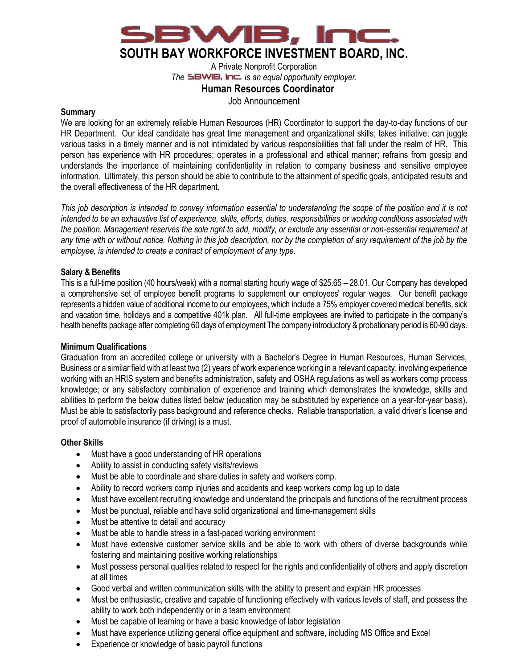

A Private Nonprofit Corporation *The SBWIB, Inc. is an equal opportunity employer.* 

### **Human Resources Coordinator**

Job Announcement

#### **Summary**

We are looking for an extremely reliable Human Resources (HR) Coordinator to support the day-to-day functions of our HR Department. Our ideal candidate has great time management and organizational skills; takes initiative; can juggle various tasks in a timely manner and is not intimidated by various responsibilities that fall under the realm of HR. This person has experience with HR procedures; operates in a professional and ethical manner; refrains from gossip and understands the importance of maintaining confidentiality in relation to company business and sensitive employee information. Ultimately, this person should be able to contribute to the attainment of specific goals, anticipated results and the overall effectiveness of the HR department.

*This job description is intended to convey information essential to understanding the scope of the position and it is not intended to be an exhaustive list of experience, skills, efforts, duties, responsibilities or working conditions associated with the position. Management reserves the sole right to add, modify, or exclude any essential or non-essential requirement at any time with or without notice. Nothing in this job description, nor by the completion of any requirement of the job by the employee, is intended to create a contract of employment of any type.*

### **Salary & Benefits**

This is a full-time position (40 hours/week) with a normal starting hourly wage of \$25.65 – 28.01. Our Company has developed a comprehensive set of employee benefit programs to supplement our employees' regular wages. Our benefit package represents a hidden value of additional income to our employees, which include a 75% employer covered medical benefits, sick and vacation time, holidays and a competitive 401k plan. All full-time employees are invited to participate in the company's health benefits package after completing 60 days of employment The company introductory & probationary period is 60-90 days.

### **Minimum Qualifications**

Graduation from an accredited college or university with a Bachelor's Degree in Human Resources, Human Services, Business or a similar field with at least two (2) years of work experience working in a relevant capacity, involving experience working with an HRIS system and benefits administration, safety and OSHA regulations as well as workers comp process knowledge; or any satisfactory combination of experience and training which demonstrates the knowledge, skills and abilities to perform the below duties listed below (education may be substituted by experience on a year-for-year basis). Must be able to satisfactorily pass background and reference checks. Reliable transportation, a valid driver's license and proof of automobile insurance (if driving) is a must.

### **Other Skills**

- Must have a good understanding of HR operations
- Ability to assist in conducting safety visits/reviews
- Must be able to coordinate and share duties in safety and workers comp.
- Ability to record workers comp injuries and accidents and keep workers comp log up to date
- Must have excellent recruiting knowledge and understand the principals and functions of the recruitment process
- Must be punctual, reliable and have solid organizational and time-management skills
- Must be attentive to detail and accuracy
- Must be able to handle stress in a fast-paced working environment
- Must have extensive customer service skills and be able to work with others of diverse backgrounds while fostering and maintaining positive working relationships
- Must possess personal qualities related to respect for the rights and confidentiality of others and apply discretion at all times
- Good verbal and written communication skills with the ability to present and explain HR processes
- Must be enthusiastic, creative and capable of functioning effectively with various levels of staff, and possess the ability to work both independently or in a team environment
- Must be capable of learning or have a basic knowledge of labor legislation
- Must have experience utilizing general office equipment and software, including MS Office and Excel
- Experience or knowledge of basic payroll functions